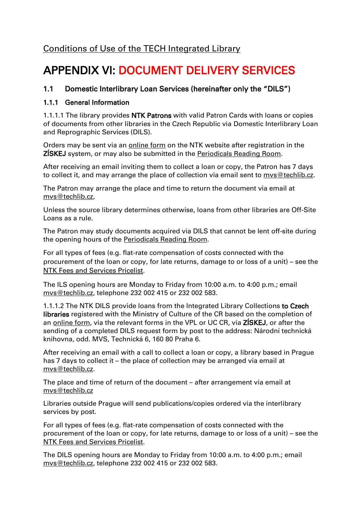# APPENDIX VI: DOCUMENT DELIVERY SERVICES

# 1.1 Domestic Interlibrary Loan Services (hereinafter only the "DILS")

# 1.1.1 General Information

1.1.1.1 The library provides NTK Patrons with valid Patron Cards with loans or copies of documents from other libraries in the Czech Republic via Domestic Interlibrary Loan and Reprographic Services (DILS).

Orders may be sent via an [online form](/en/2848-domestic-interlibrary-loan) on the NTK website after registration in the ZÍSKEJ system, or may also be submitted in the [Periodicals Reading Room.](/en/82969-periodicals-reading-room)

After receiving an email inviting them to collect a loan or copy, the Patron has 7 days to collect it, and may arrange the place of collection via email sent to mys@techlib.cz.

The Patron may arrange the place and time to return the document via email at [mvs@techlib.cz,](mailto:mvs@techlib.cz)

Unless the source library determines otherwise, loans from other libraries are Off-Site Loans as a rule.

The Patron may study documents acquired via DILS that cannot be lent off-site during the opening hours of the [Periodicals Reading Room.](/en/82969-periodicals-reading-room)

For all types of fees (e.g. flat-rate compensation of costs connected with the procurement of the loan or copy, for late returns, damage to or loss of a unit) – see the [NTK Fees and Services Pricelist.](/default/files/download/id/4618/)

The ILS opening hours are Monday to Friday from 10:00 a.m. to 4:00 p.m.; email [mvs@techlib.cz,](mailto:mvs@techlib.cz) telephone 232 002 415 or 232 002 583.

1.1.1.2 The NTK DILS provide loans from the Integrated Library Collections to Czech libraries registered with the Ministry of Culture of the CR based on the completion of an [online form,](/en/2848) via the relevant forms in the VPL or UC CR, via ZISKEJ, or after the sending of a completed DILS request form by post to the address: Národní technická knihovna, odd. MVS, Technická 6, 160 80 Praha 6.

After receiving an email with a call to collect a loan or copy, a library based in Prague has 7 days to collect it – the place of collection may be arranged via email at [mvs@techlib.cz.](mailto:mvs@techlib.cz)

The place and time of return of the document – after arrangement via email at [mvs@techlib.cz](mailto:mvs@techlib.cz)

Libraries outside Prague will send publications/copies ordered via the interlibrary services by post.

For all types of fees (e.g. flat-rate compensation of costs connected with the procurement of the loan or copy, for late returns, damage to or loss of a unit) – see the [NTK Fees and Services Pricelist.](/default/files/download/id/4618/)

The DILS opening hours are Monday to Friday from 10:00 a.m. to 4:00 p.m.; email [mvs@techlib.cz,](mailto:mvs@techlib.cz) telephone 232 002 415 or 232 002 583.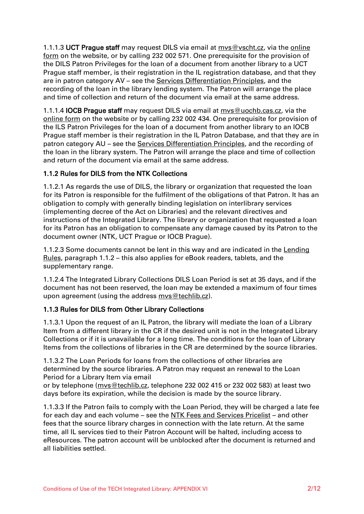1.1.1.3 UCT Prague staff may request DILS via email at [mvs@vscht.cz,](mailto:mvs@vscht.cz) via the [online](https://www.chemtk.cz/en/83034-interlibrary-loan-order-for-uct-prague-users) [form](https://www.chemtk.cz/en/83034-interlibrary-loan-order-for-uct-prague-users) on the website, or by calling 232 002 571. One prerequisite for the provision of the DILS Patron Privileges for the loan of a document from another library to a UCT Prague staff member, is their registration in the IL registration database, and that they are in patron category AV – see the [Services Differentiation Principles,](/default/files/download/id/86908/) and the recording of the loan in the library lending system. The Patron will arrange the place and time of collection and return of the document via email at the same address.

1.1.1.4 IOCB Prague staff may request DILS via email at [mvs@uochb.cas.cz,](mailto:mvs@uochb.cas.cz) via the [online](https://www.chemtk.cz/en/83033-interlibrary-load-order-for-iocb-prague-users) form on the website or by calling 232 002 434. One prerequisite for provision of the ILS Patron Privileges for the loan of a document from another library to an IOCB Prague staff member is their registration in the IL Patron Database, and that they are in patron category AU – see the [Services Differentiation Principles,](/default/files/download/id/86908/) and the recording of the loan in the library system. The Patron will arrange the place and time of collection and return of the document via email at the same address.

# 1.1.2 Rules for DILS from the NTK Collections

1.1.2.1 As regards the use of DILS, the library or organization that requested the loan for its Patron is responsible for the fulfilment of the obligations of that Patron. It has an obligation to comply with generally binding legislation on interlibrary services (implementing decree of the Act on Libraries) and the relevant directives and instructions of the Integrated Library. The library or organization that requested a loan for its Patron has an obligation to compensate any damage caused by its Patron to the document owner (NTK, UCT Prague or IOCB Prague).

1.1.2.3 Some documents cannot be lent in this way and are indicated in the [Lending](/default/files/download/id/86916)  [Rules,](/default/files/download/id/86916) paragraph 1.1.2 – this also applies for eBook readers, tablets, and the supplementary range.

1.1.2.4 The Integrated Library Collections DILS Loan Period is set at 35 days, and if the document has not been reserved, the loan may be extended a maximum of four times upon agreement (using the address mys@techlib.cz).

# 1.1.3 Rules for DILS from Other Library Collections

1.1.3.1 Upon the request of an IL Patron, the library will mediate the loan of a Library Item from a different library in the CR if the desired unit is not in the Integrated Library Collections or if it is unavailable for a long time. The conditions for the loan of Library Items from the collections of libraries in the CR are determined by the source libraries.

1.1.3.2 The Loan Periods for loans from the collections of other libraries are determined by the source libraries. A Patron may request an renewal to the Loan Period for a Library Item via email

or by telephone [\(mvs@techlib.cz,](mailto:mvs@techlib.cz) telephone 232 002 415 or 232 002 583) at least two days before its expiration, while the decision is made by the source library.

1.1.3.3 If the Patron fails to comply with the Loan Period, they will be charged a late fee for each day and each volume – see the [NTK Fees and Services Pricelist](/default/files/download/id/4618/) – and other fees that the source library charges in connection with the late return. At the same time, all IL services tied to their Patron Account will be halted, including access to eResources. The patron account will be unblocked after the document is returned and all liabilities settled.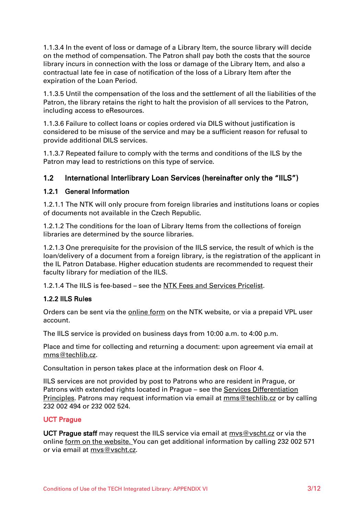1.1.3.4 In the event of loss or damage of a Library Item, the source library will decide on the method of compensation. The Patron shall pay both the costs that the source library incurs in connection with the loss or damage of the Library Item, and also a contractual late fee in case of notification of the loss of a Library Item after the expiration of the Loan Period.

1.1.3.5 Until the compensation of the loss and the settlement of all the liabilities of the Patron, the library retains the right to halt the provision of all services to the Patron, including access to eResources.

1.1.3.6 Failure to collect loans or copies ordered via DILS without justification is considered to be misuse of the service and may be a sufficient reason for refusal to provide additional DILS services.

1.1.3.7 Repeated failure to comply with the terms and conditions of the ILS by the Patron may lead to restrictions on this type of service.

# 1.2 International Interlibrary Loan Services (hereinafter only the "IILS")

#### 1.2.1 General Information

1.2.1.1 The NTK will only procure from foreign libraries and institutions loans or copies of documents not available in the Czech Republic.

1.2.1.2 The conditions for the loan of Library Items from the collections of foreign libraries are determined by the source libraries.

1.2.1.3 One prerequisite for the provision of the IILS service, the result of which is the loan/delivery of a document from a foreign library, is the registration of the applicant in the IL Patron Database. Higher education students are recommended to request their faculty library for mediation of the IILS.

1.2.1.4 The IILS is fee-based – see the [NTK Fees and Services Pricelist.](/default/files/download/id/4618/)

#### 1.2.2 IILS Rules

Orders can be sent via the [online form](/en/83429) on the NTK website, or via a prepaid VPL user account.

The IILS service is provided on business days from 10:00 a.m. to 4:00 p.m.

Place and time for collecting and returning a document: upon agreement via email at mms@techlib.cz.

Consultation in person takes place at the information desk on Floor 4.

IILS services are not provided by post to Patrons who are resident in Prague, or Patrons with extended rights located in Prague – see the [Services Differentiation](/default/files/download/id/86908/)  [Principles.](/default/files/download/id/86908/) Patrons may request information via email at [mms@techlib.cz](mailto:mms@techlib.cz) or by calling 232 002 494 or 232 002 524.

#### UCT Prague

UCT Prague staff may request the IILS service via email at [mvs@vscht.cz](mailto:mvs@vscht.cz) or via the online [form on the website.](https://www.chemtk.cz/en/83034-interlibrary-loan-order-for-uct-prague-users) You can get additional information by calling 232 002 571 or via email at [mvs@vscht.cz.](mailto:mvs@vscht.cz)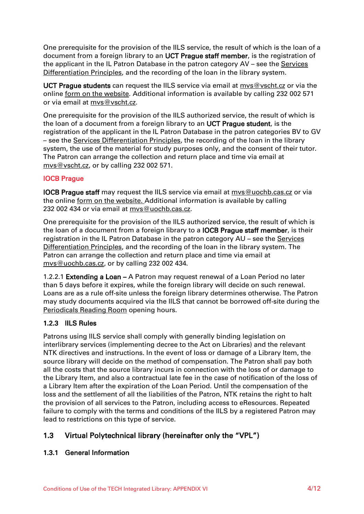One prerequisite for the provision of the IILS service, the result of which is the loan of a document from a foreign library to an UCT Prague staff member, is the registration of the applicant in the IL Patron Database in the patron category AV – see the [Services](/default/files/download/id/86908/)  [Differentiation Principles,](/default/files/download/id/86908/) and the recording of the loan in the library system.

UCT Prague students can request the IILS service via email at [mvs@vscht.cz](mailto:mvs@vscht.cz) or via the online [form on the website.](https://www.chemtk.cz/en/83034-interlibrary-loan-order-for-uct-prague-users) Additional information is available by calling 232 002 571 or via email at [mvs@vscht.cz.](mailto:mvs@vscht.cz)

One prerequisite for the provision of the IILS authorized service, the result of which is the loan of a document from a foreign library to an UCT Prague student, is the registration of the applicant in the IL Patron Database in the patron categories BV to GV – see the [Services Differentiation Principles,](/default/files/download/id/86908/) the recording of the loan in the library system, the use of the material for study purposes only, and the consent of their tutor. The Patron can arrange the collection and return place and time via email at [mvs@vscht.cz,](mailto:mvs@vscht.cz) or by calling 232 002 571.

# IOCB Prague

IOCB Prague staff may request the IILS service via email at [mvs@uochb.cas.cz](mailto:mvs@uochb.cas.cz) or via the online [form on the website.](https://www.chemtk.cz/en/83033-interlibrary-load-order-for-iocb-prague-users) Additional information is available by calling 232 002 434 or via email at mys@uochb.cas.cz.

One prerequisite for the provision of the IILS authorized service, the result of which is the loan of a document from a foreign library to a IOCB Prague staff member, is their registration in the IL Patron Database in the patron category AU – see the Services [Differentiation Principles,](/default/files/download/id/86908/) and the recording of the loan in the library system. The Patron can arrange the collection and return place and time via email at [mvs@uochb.cas.cz,](mailto:mvs@uochb.cas.cz) or by calling 232 002 434.

1.2.2.1 Extending a Loan – A Patron may request renewal of a Loan Period no later than 5 days before it expires, while the foreign library will decide on such renewal. Loans are as a rule off-site unless the foreign library determines otherwise. The Patron may study documents acquired via the IILS that cannot be borrowed off-site during the [Periodicals Reading Room](/en/82969-periodicals-reading-room) opening hours.

# 1.2.3 IILS Rules

Patrons using IILS service shall comply with generally binding legislation on interlibrary services (implementing decree to the Act on Libraries) and the relevant NTK directives and instructions. In the event of loss or damage of a Library Item, the source library will decide on the method of compensation. The Patron shall pay both all the costs that the source library incurs in connection with the loss of or damage to the Library Item, and also a contractual late fee in the case of notification of the loss of a Library Item after the expiration of the Loan Period. Until the compensation of the loss and the settlement of all the liabilities of the Patron, NTK retains the right to halt the provision of all services to the Patron, including access to eResources. Repeated failure to comply with the terms and conditions of the IILS by a registered Patron may lead to restrictions on this type of service.

# 1.3 Virtual Polytechnical library (hereinafter only the "VPL")

# 1.3.1 General Information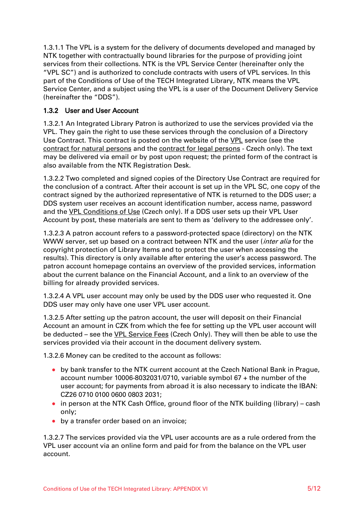1.3.1.1 The VPL is a system for the delivery of documents developed and managed by NTK together with contractually bound libraries for the purpose of providing joint services from their collections. NTK is the VPL Service Center (hereinafter only the "VPL SC") and is authorized to conclude contracts with users of VPL services. In this part of the Conditions of Use of the TECH Integrated Library, NTK means the VPL Service Center, and a subject using the VPL is a user of the Document Delivery Service (hereinafter the "DDS").

# 1.3.2 User and User Account

1.3.2.1 An Integrated Library Patron is authorized to use the services provided via the VPL. They gain the right to use these services through the conclusion of a Directory Use Contract. This contract is posted on the website of the [VPL](/en/2879-virtual-polytechnical-library-vpk) service (see the [contract for natural persons](/default/files/download/id/4639/vpk-smlouva-pro-fyzicke-osoby.pdf) and the [contract for legal persons](/default/files/download/id/4640/vpk-smlouva-pro-pravnicke-osoby.pdf) - Czech only). The text may be delivered via email or by post upon request; the printed form of the contract is also available from the NTK Registration Desk.

1.3.2.2 Two completed and signed copies of the Directory Use Contract are required for the conclusion of a contract. After their account is set up in the VPL SC, one copy of the contract signed by the authorized representative of NTK is returned to the DDS user; a DDS system user receives an account identification number, access name, password and the [VPL Conditions](/files/download/id/84755/knihovni-rad-a-cenik-sluzeb-vpk.pdf) of Use (Czech only). If a DDS user sets up their VPL User Account by post, these materials are sent to them as 'delivery to the addressee only'.

1.3.2.3 A patron account refers to a password-protected space (directory) on the NTK WWW server, set up based on a contract between NTK and the user (*inter alia* for the copyright protection of Library Items and to protect the user when accessing the results). This directory is only available after entering the user's access password. The patron account homepage contains an overview of the provided services, information about the current balance on the Financial Account, and a link to an overview of the billing for already provided services.

1.3.2.4 A VPL user account may only be used by the DDS user who requested it. One DDS user may only have one user VPL user account.

1.3.2.5 After setting up the patron account, the user will deposit on their Financial Account an amount in CZK from which the fee for setting up the VPL user account will be deducted – see the [VPL Service Fees](file:///C:/files/download/id/84764/cenik-sluzeb-vpk.pdf) (Czech Only). They will then be able to use the services provided via their account in the document delivery system.

1.3.2.6 Money can be credited to the account as follows:

- by bank transfer to the NTK current account at the Czech National Bank in Prague, account number 10006-8032031/0710, variable symbol 67 + the number of the user account; for payments from abroad it is also necessary to indicate the IBAN: CZ26 0710 0100 0600 0803 2031;
- in person at the NTK Cash Office, ground floor of the NTK building (library) cash only;
- by a transfer order based on an invoice;

1.3.2.7 The services provided via the VPL user accounts are as a rule ordered from the VPL user account via an online form and paid for from the balance on the VPL user account.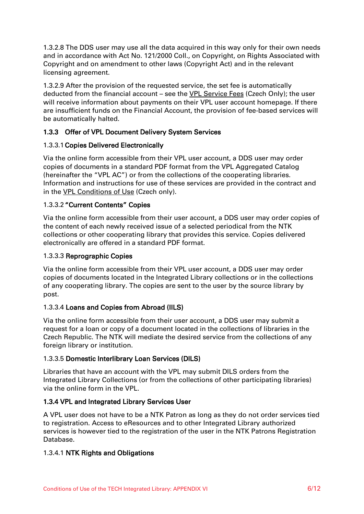1.3.2.8 The DDS user may use all the data acquired in this way only for their own needs and in accordance with Act No. 121/2000 Coll., on Copyright, on Rights Associated with Copyright and on amendment to other laws (Copyright Act) and in the relevant licensing agreement.

1.3.2.9 After the provision of the requested service, the set fee is automatically deducted from the financial account – see the [VPL Service Fees](/files/download/id/84764/cenik-sluzeb-vpk.pdf) (Czech Only); the user will receive information about payments on their VPL user account homepage. If there are insufficient funds on the Financial Account, the provision of fee-based services will be automatically halted.

# 1.3.3 Offer of VPL Document Delivery System Services

# 1.3.3.1Copies Delivered Electronically

Via the online form accessible from their VPL user account, a DDS user may order copies of documents in a standard PDF format from the VPL Aggregated Catalog (hereinafter the "VPL AC") or from the collections of the cooperating libraries. Information and instructions for use of these services are provided in the contract and in the VPL [Conditions](file:///C:/files/download/id/84755/knihovni-rad-a-cenik-sluzeb-vpk.pdf) of Use (Czech only).

# 1.3.3.2 "Current Contents" Copies

Via the online form accessible from their user account, a DDS user may order copies of the content of each newly received issue of a selected periodical from the NTK collections or other cooperating library that provides this service. Copies delivered electronically are offered in a standard PDF format.

# 1.3.3.3 Reprographic Copies

Via the online form accessible from their VPL user account, a DDS user may order copies of documents located in the Integrated Library collections or in the collections of any cooperating library. The copies are sent to the user by the source library by post.

# 1.3.3.4 Loans and Copies from Abroad (IILS)

Via the online form accessible from their user account, a DDS user may submit a request for a loan or copy of a document located in the collections of libraries in the Czech Republic. The NTK will mediate the desired service from the collections of any foreign library or institution.

# 1.3.3.5 Domestic Interlibrary Loan Services (DILS)

Libraries that have an account with the VPL may submit DILS orders from the Integrated Library Collections (or from the collections of other participating libraries) via the online form in the VPL.

# 1.3.4 VPL and Integrated Library Services User

A VPL user does not have to be a NTK Patron as long as they do not order services tied to registration. Access to eResources and to other Integrated Library authorized services is however tied to the registration of the user in the NTK Patrons Registration Database.

# 1.3.4.1 NTK Rights and Obligations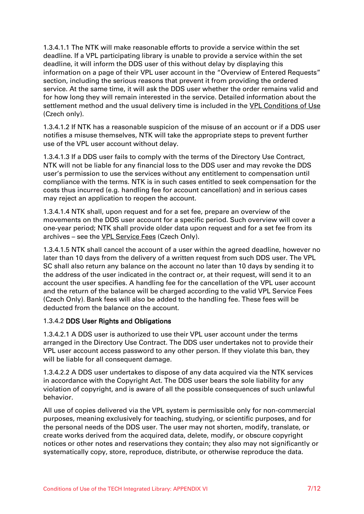1.3.4.1.1 The NTK will make reasonable efforts to provide a service within the set deadline. If a VPL participating library is unable to provide a service within the set deadline, it will inform the DDS user of this without delay by displaying this information on a page of their VPL user account in the "Overview of Entered Requests" section, including the serious reasons that prevent it from providing the ordered service. At the same time, it will ask the DDS user whether the order remains valid and for how long they will remain interested in the service. Detailed information about the settlement method and the usual delivery time is included in the [VPL Conditions](file:///C:/files/download/id/84755/knihovni-rad-a-cenik-sluzeb-vpk.pdf) of Use (Czech only).

1.3.4.1.2 If NTK has a reasonable suspicion of the misuse of an account or if a DDS user notifies a misuse themselves, NTK will take the appropriate steps to prevent further use of the VPL user account without delay.

1.3.4.1.3 If a DDS user fails to comply with the terms of the Directory Use Contract, NTK will not be liable for any financial loss to the DDS user and may revoke the DDS user's permission to use the services without any entitlement to compensation until compliance with the terms. NTK is in such cases entitled to seek compensation for the costs thus incurred (e.g. handling fee for account cancellation) and in serious cases may reject an application to reopen the account.

1.3.4.1.4 NTK shall, upon request and for a set fee, prepare an overview of the movements on the DDS user account for a specific period. Such overview will cover a one-year period; NTK shall provide older data upon request and for a set fee from its archives - see the [VPL Service Fees](file:///C:/files/download/id/84764/cenik-sluzeb-vpk.pdf) (Czech Only).

1.3.4.1.5 NTK shall cancel the account of a user within the agreed deadline, however no later than 10 days from the delivery of a written request from such DDS user. The VPL SC shall also return any balance on the account no later than 10 days by sending it to the address of the user indicated in the contract or, at their request, will send it to an account the user specifies. A handling fee for the cancellation of the VPL user account and the return of the balance will be charged according to the valid VPL Service Fees (Czech Only). Bank fees will also be added to the handling fee. These fees will be deducted from the balance on the account.

#### 1.3.4.2 DDS User Rights and Obligations

1.3.4.2.1 A DDS user is authorized to use their VPL user account under the terms arranged in the Directory Use Contract. The DDS user undertakes not to provide their VPL user account access password to any other person. If they violate this ban, they will be liable for all consequent damage.

1.3.4.2.2 A DDS user undertakes to dispose of any data acquired via the NTK services in accordance with the Copyright Act. The DDS user bears the sole liability for any violation of copyright, and is aware of all the possible consequences of such unlawful behavior.

All use of copies delivered via the VPL system is permissible only for non-commercial purposes, meaning exclusively for teaching, studying, or scientific purposes, and for the personal needs of the DDS user. The user may not shorten, modify, translate, or create works derived from the acquired data, delete, modify, or obscure copyright notices or other notes and reservations they contain; they also may not significantly or systematically copy, store, reproduce, distribute, or otherwise reproduce the data.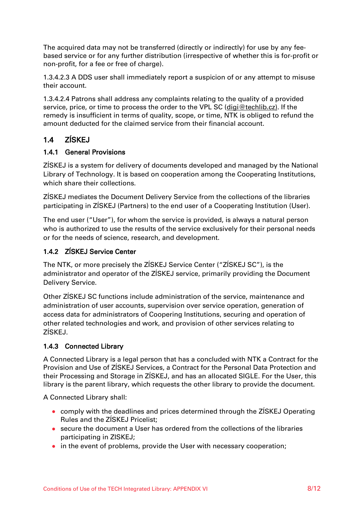The acquired data may not be transferred (directly or indirectly) for use by any feebased service or for any further distribution (irrespective of whether this is for-profit or non-profit, for a fee or free of charge).

1.3.4.2.3 A DDS user shall immediately report a suspicion of or any attempt to misuse their account.

1.3.4.2.4 Patrons shall address any complaints relating to the quality of a provided service, price, or time to process the order to the VPL SC [\(digi@techlib.cz\)](mailto:digi@techlib.cz). If the remedy is insufficient in terms of quality, scope, or time, NTK is obliged to refund the amount deducted for the claimed service from their financial account.

# 1.4 ZÍSKEJ

#### 1.4.1 General Provisions

ZÍSKEJ is a system for delivery of documents developed and managed by the National Library of Technology. It is based on cooperation among the Cooperating Institutions, which share their collections.

ZÍSKEJ mediates the Document Delivery Service from the collections of the libraries participating in ZÍSKEJ (Partners) to the end user of a Cooperating Institution (User).

The end user ("User"), for whom the service is provided, is always a natural person who is authorized to use the results of the service exclusively for their personal needs or for the needs of science, research, and development.

# 1.4.2 ZÍSKEJ Service Center

The NTK, or more precisely the ZÍSKEJ Service Center ("ZÍSKEJ SC"), is the administrator and operator of the ZÍSKEJ service, primarily providing the Document Delivery Service.

Other ZÍSKEJ SC functions include administration of the service, maintenance and administration of user accounts, supervision over service operation, generation of access data for administrators of Coopering Institutions, securing and operation of other related technologies and work, and provision of other services relating to ZÍSKEJ.

# 1.4.3 Connected Library

A Connected Library is a legal person that has a concluded with NTK a Contract for the Provision and Use of ZÍSKEJ Services, a Contract for the Personal Data Protection and their Processing and Storage in ZÍSKEJ, and has an allocated SIGLE. For the User, this library is the parent library, which requests the other library to provide the document.

A Connected Library shall:

- comply with the deadlines and prices determined through the ZÍSKEJ Operating Rules and the ZÍSKEJ Pricelist;
- secure the document a User has ordered from the collections of the libraries participating in ZISKEJ;
- in the event of problems, provide the User with necessary cooperation;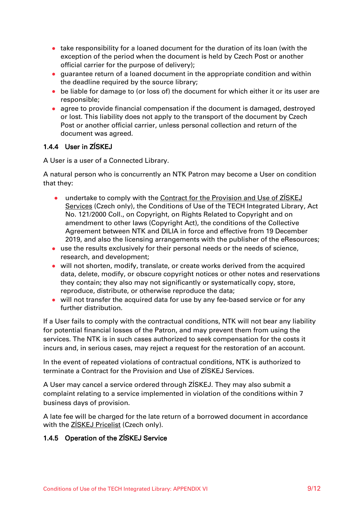- take responsibility for a loaned document for the duration of its loan (with the exception of the period when the document is held by Czech Post or another official carrier for the purpose of delivery);
- guarantee return of a loaned document in the appropriate condition and within the deadline required by the source library;
- be liable for damage to (or loss of) the document for which either it or its user are responsible;
- agree to provide financial compensation if the document is damaged, destroyed or lost. This liability does not apply to the transport of the document by Czech Post or another official carrier, unless personal collection and return of the document was agreed.

# 1.4.4 User in ZÍSKEJ

A User is a user of a Connected Library.

A natural person who is concurrently an NTK Patron may become a User on condition that they:

- undertake to comply with the [Contract for the Provision and Use of ZÍSKEJ](https://ziskej-info.techlib.cz/dokumentace/pro-reditele-knihoven/dokumenty)  [Services](https://ziskej-info.techlib.cz/dokumentace/pro-reditele-knihoven/dokumenty) (Czech only), the Conditions of Use of the TECH Integrated Library, Act No. 121/2000 Coll., on Copyright, on Rights Related to Copyright and on amendment to other laws (Copyright Act), the conditions of the Collective Agreement between NTK and DILIA in force and effective from 19 December 2019, and also the licensing arrangements with the publisher of the eResources;
- use the results exclusively for their personal needs or the needs of science, research, and development;
- will not shorten, modify, translate, or create works derived from the acquired data, delete, modify, or obscure copyright notices or other notes and reservations they contain; they also may not significantly or systematically copy, store, reproduce, distribute, or otherwise reproduce the data;
- will not transfer the acquired data for use by any fee-based service or for any further distribution.

If a User fails to comply with the contractual conditions, NTK will not bear any liability for potential financial losses of the Patron, and may prevent them from using the services. The NTK is in such cases authorized to seek compensation for the costs it incurs and, in serious cases, may reject a request for the restoration of an account.

In the event of repeated violations of contractual conditions, NTK is authorized to terminate a Contract for the Provision and Use of ZÍSKEJ Services.

A User may cancel a service ordered through ZÍSKEJ. They may also submit a complaint relating to a service implemented in violation of the conditions within 7 business days of provision.

A late fee will be charged for the late return of a borrowed document in accordance with the [ZÍSKEJ Pricelist](https://ziskej-info.techlib.cz/dokumentace/pro-reditele-knihoven/dokumenty/cenik-ziskej.pdf/view) (Czech only).

#### 1.4.5 Operation of the ZÍSKEJ Service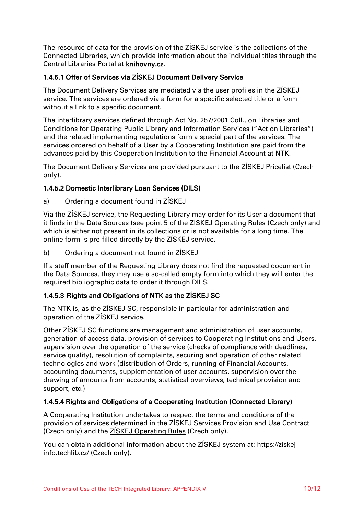The resource of data for the provision of the ZÍSKEJ service is the collections of the Connected Libraries, which provide information about the individual titles through the Central Libraries Portal at knihovny.cz.

#### 1.4.5.1 Offer of Services via ZÍSKEJ Document Delivery Service

The Document Delivery Services are mediated via the user profiles in the ZÍSKEJ service. The services are ordered via a form for a specific selected title or a form without a link to a specific document.

The interlibrary services defined through Act No. 257/2001 Coll., on Libraries and Conditions for Operating Public Library and Information Services ("Act on Libraries") and the related implementing regulations form a special part of the services. The services ordered on behalf of a User by a Cooperating Institution are paid from the advances paid by this Cooperation Institution to the Financial Account at NTK.

The Document Delivery Services are provided pursuant to the **ZISKEJ Pricelist** (Czech only).

#### 1.4.5.2 Domestic Interlibrary Loan Services (DILS)

a) Ordering a document found in ZÍSKEJ

Via the ZÍSKEJ service, the Requesting Library may order for its User a document that it finds in the Data Sources (see point 5 of the [ZÍSKEJ Operating Rules](file:///C:/Users/Petra/AppData/Local/Temp/ProvoznÃ­%20ÅÃ¡d%20ZÃSKEJ.pdf) (Czech only) and which is either not present in its collections or is not available for a long time. The online form is pre-filled directly by the ZÍSKEJ service.

b) Ordering a document not found in ZÍSKEJ

If a staff member of the Requesting Library does not find the requested document in the Data Sources, they may use a so-called empty form into which they will enter the required bibliographic data to order it through DILS.

# 1.4.5.3 Rights and Obligations of NTK as the ZÍSKEJ SC

The NTK is, as the ZÍSKEJ SC, responsible in particular for administration and operation of the ZÍSKEJ service.

Other ZÍSKEJ SC functions are management and administration of user accounts, generation of access data, provision of services to Cooperating Institutions and Users, supervision over the operation of the service (checks of compliance with deadlines, service quality), resolution of complaints, securing and operation of other related technologies and work (distribution of Orders, running of Financial Accounts, accounting documents, supplementation of user accounts, supervision over the drawing of amounts from accounts, statistical overviews, technical provision and support, etc.)

#### 1.4.5.4 Rights and Obligations of a Cooperating Institution (Connected Library)

A Cooperating Institution undertakes to respect the terms and conditions of the provision of services determined in the [ZÍSKEJ Services Provision and Use Contract](https://ziskej-info.techlib.cz/dokumentace/pro-reditele-knihoven/dokumenty) (Czech only) and the **ZISKEJ Operating Rules** (Czech only).

You can obtain additional information about the ZÍSKEJ system at: [https://ziskej](https://ziskej-info.techlib.cz/)[info.techlib.cz/](https://ziskej-info.techlib.cz/) (Czech only).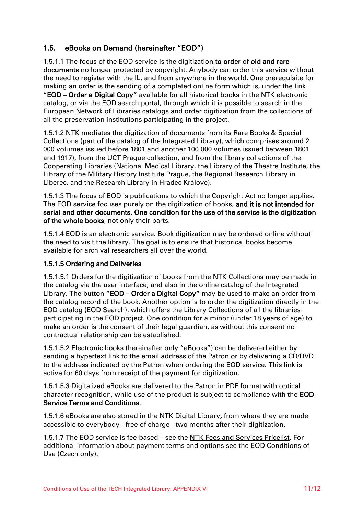# 1.5. eBooks on Demand (hereinafter "EOD")

1.5.1.1 The focus of the EOD service is the digitization to order of old and rare documents no longer protected by copyright. Anybody can order this service without the need to register with the IL, and from anywhere in the world. One prerequisite for making an order is the sending of a completed online form which is, under the link "EOD – Order a Digital Copy" available for all historical books in the NTK electronic catalog, or via the [EOD search](https://books2ebooks.eu/en) portal, through which it is possible to search in the European Network of Libraries catalogs and order digitization from the collections of all the preservation institutions participating in the project.

1.5.1.2 NTK mediates the digitization of documents from its Rare Books & Special Collections (part of the [catalog](https://vufind.techlib.cz/?lng=en) of the Integrated Library), which comprises around 2 000 volumes issued before 1801 and another 100 000 volumes issued between 1801 and 1917), from the UCT Prague collection, and from the library collections of the Cooperating Libraries (National Medical Library, the Library of the Theatre Institute, the Library of the Military History Institute Prague, the Regional Research Library in Liberec, and the Research Library in Hradec Králové).

1.5.1.3 The focus of EOD is publications to which the Copyright Act no longer applies. The EOD service focuses purely on the digitization of books, and it is not intended for serial and other documents. One condition for the use of the service is the digitization of the whole books, not only their parts.

1.5.1.4 EOD is an electronic service. Book digitization may be ordered online without the need to visit the library. The goal is to ensure that historical books become available for archival researchers all over the world.

#### 1.5.1.5 Ordering and Deliveries

1.5.1.5.1 Orders for the digitization of books from the NTK Collections may be made in the catalog via the user interface, and also in the online catalog of the Integrated Library. The button "**EOD – Order a Digital Copy"** may be used to make an order from the catalog record of the book. Another option is to order the digitization directly in the EOD catalog [\(EOD Search\)](https://search.books2ebooks.eu/), which offers the Library Collections of all the libraries participating in the EOD project. One condition for a minor (under 18 years of age) to make an order is the consent of their legal guardian, as without this consent no contractual relationship can be established.

1.5.1.5.2 Electronic books (hereinafter only "eBooks") can be delivered either by sending a hypertext link to the email address of the Patron or by delivering a CD/DVD to the address indicated by the Patron when ordering the EOD service. This link is active for 60 days from receipt of the payment for digitization.

1.5.1.5.3 Digitalized eBooks are delivered to the Patron in PDF format with optical character recognition, while use of the product is subject to compliance with the EOD Service Terms and Conditions.

1.5.1.6 eBooks are also stored in the [NTK Digital Library,](http://k4.techlib.cz/) from where they are made accessible to everybody - free of charge - two months after their digitization.

1.5.1.7 The EOD service is fee-based – see the [NTK Fees and Services Pricelist.](/default/files/download/id/4618/) For additional information about payment terms and options see the **EOD Conditions of** Use (Czech only).